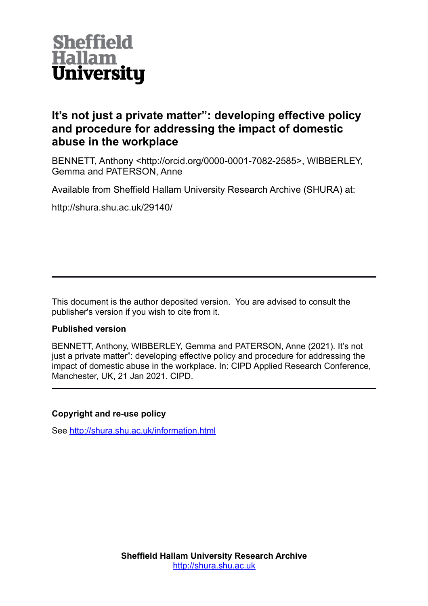

## **It's not just a private matter": developing effective policy and procedure for addressing the impact of domestic abuse in the workplace**

BENNETT, Anthony <http://orcid.org/0000-0001-7082-2585>, WIBBERLEY, Gemma and PATERSON, Anne

Available from Sheffield Hallam University Research Archive (SHURA) at:

http://shura.shu.ac.uk/29140/

This document is the author deposited version. You are advised to consult the publisher's version if you wish to cite from it.

#### **Published version**

BENNETT, Anthony, WIBBERLEY, Gemma and PATERSON, Anne (2021). It's not just a private matter": developing effective policy and procedure for addressing the impact of domestic abuse in the workplace. In: CIPD Applied Research Conference, Manchester, UK, 21 Jan 2021. CIPD.

#### **Copyright and re-use policy**

See<http://shura.shu.ac.uk/information.html>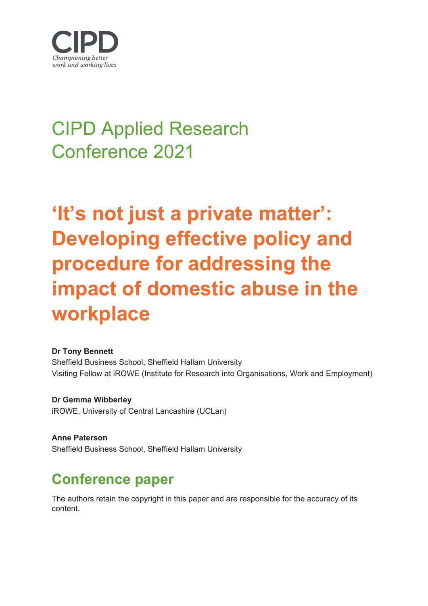

# CIPD Applied Research Conference 2021

**'It's not just a private matter': Developing effective policy and procedure for addressing the impact of domestic abuse in the workplace**

#### **Dr Tony Bennett**

Sheffield Business School, Sheffield Hallam University Visiting Fellow at iROWE (Institute for Research into Organisations, Work and Employment)

**Dr Gemma Wibberley** iROWE, University of Central Lancashire (UCLan)

**Anne Paterson** Sheffield Business School, Sheffield Hallam University

## **Conference paper**

The authors retain the copyright in this paper and are responsible for the accuracy of its content.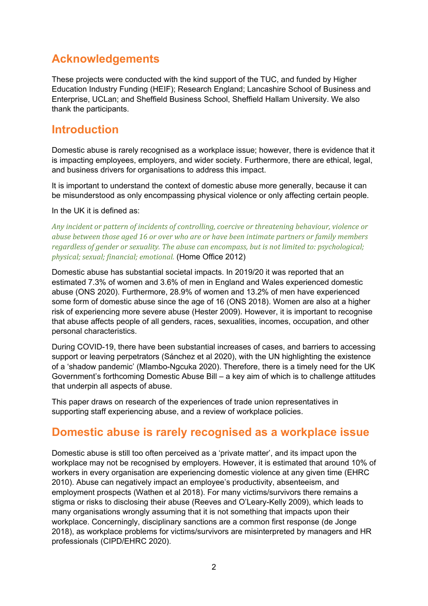## **Acknowledgements**

These projects were conducted with the kind support of the TUC, and funded by Higher Education Industry Funding (HEIF); Research England; Lancashire School of Business and Enterprise, UCLan; and Sheffield Business School, Sheffield Hallam University. We also thank the participants.

#### **Introduction**

Domestic abuse is rarely recognised as a workplace issue; however, there is evidence that it is impacting employees, employers, and wider society. Furthermore, there are ethical, legal, and business drivers for organisations to address this impact.

It is important to understand the context of domestic abuse more generally, because it can be misunderstood as only encompassing physical violence or only affecting certain people.

#### In the UK it is defined as:

*Any incident or pattern of incidents of controlling, coercive or threatening behaviour, violence or abuse between those aged 16 or over who are or have been intimate partners or family members regardless of gender or sexuality. The abuse can encompass, but is not limited to: psychological; physical; sexual; financial; emotional.* (Home Office 2012)

Domestic abuse has substantial societal impacts. In 2019/20 it was reported that an estimated 7.3% of women and 3.6% of men in England and Wales experienced domestic abuse (ONS 2020). Furthermore, 28.9% of women and 13.2% of men have experienced some form of domestic abuse since the age of 16 (ONS 2018). Women are also at a higher risk of experiencing more severe abuse (Hester 2009). However, it is important to recognise that abuse affects people of all genders, races, sexualities, incomes, occupation, and other personal characteristics.

During COVID-19, there have been substantial increases of cases, and barriers to accessing support or leaving perpetrators (Sánchez et al 2020), with the UN highlighting the existence of a 'shadow pandemic' (Mlambo-Ngcuka 2020). Therefore, there is a timely need for the UK Government's forthcoming Domestic Abuse Bill – a key aim of which is to challenge attitudes that underpin all aspects of abuse.

This paper draws on research of the experiences of trade union representatives in supporting staff experiencing abuse, and a review of workplace policies.

### **Domestic abuse is rarely recognised as a workplace issue**

Domestic abuse is still too often perceived as a 'private matter', and its impact upon the workplace may not be recognised by employers. However, it is estimated that around 10% of workers in every organisation are experiencing domestic violence at any given time (EHRC 2010). Abuse can negatively impact an employee's productivity, absenteeism, and employment prospects (Wathen et al 2018). For many victims/survivors there remains a stigma or risks to disclosing their abuse (Reeves and O'Leary-Kelly 2009), which leads to many organisations wrongly assuming that it is not something that impacts upon their workplace. Concerningly, disciplinary sanctions are a common first response (de Jonge 2018), as workplace problems for victims/survivors are misinterpreted by managers and HR professionals (CIPD/EHRC 2020).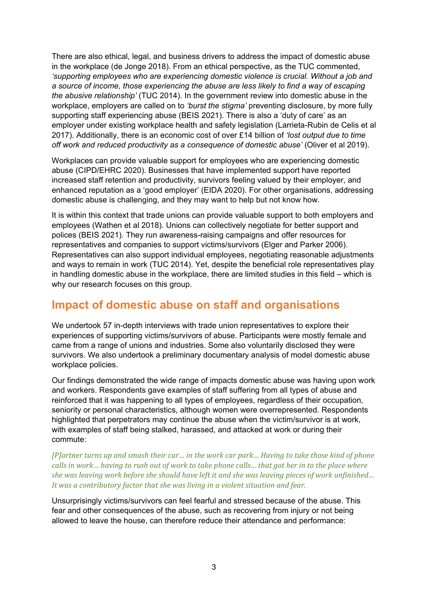There are also ethical, legal, and business drivers to address the impact of domestic abuse in the workplace (de Jonge 2018). From an ethical perspective, as the TUC commented, *'supporting employees who are experiencing domestic violence is crucial. Without a job and a source of income, those experiencing the abuse are less likely to find a way of escaping the abusive relationship'* (TUC 2014). In the government review into domestic abuse in the workplace, employers are called on to *'burst the stigma'* preventing disclosure, by more fully supporting staff experiencing abuse (BEIS 2021). There is also a 'duty of care' as an employer under existing workplace health and safety legislation (Larrieta-Rubin de Celis et al 2017). Additionally, there is an economic cost of over £14 billion of *'lost output due to time off work and reduced productivity as a consequence of domestic abuse'* (Oliver et al 2019).

Workplaces can provide valuable support for employees who are experiencing domestic abuse (CIPD/EHRC 2020). Businesses that have implemented support have reported increased staff retention and productivity, survivors feeling valued by their employer, and enhanced reputation as a 'good employer' (EIDA 2020). For other organisations, addressing domestic abuse is challenging, and they may want to help but not know how.

It is within this context that trade unions can provide valuable support to both employers and employees (Wathen et al 2018). Unions can collectively negotiate for better support and polices (BEIS 2021). They run awareness-raising campaigns and offer resources for representatives and companies to support victims/survivors (Elger and Parker 2006). Representatives can also support individual employees, negotiating reasonable adjustments and ways to remain in work (TUC 2014). Yet, despite the beneficial role representatives play in handling domestic abuse in the workplace, there are limited studies in this field – which is why our research focuses on this group.

#### **Impact of domestic abuse on staff and organisations**

We undertook 57 in-depth interviews with trade union representatives to explore their experiences of supporting victims/survivors of abuse. Participants were mostly female and came from a range of unions and industries. Some also voluntarily disclosed they were survivors. We also undertook a preliminary documentary analysis of model domestic abuse workplace policies.

Our findings demonstrated the wide range of impacts domestic abuse was having upon work and workers. Respondents gave examples of staff suffering from all types of abuse and reinforced that it was happening to all types of employees, regardless of their occupation, seniority or personal characteristics, although women were overrepresented. Respondents highlighted that perpetrators may continue the abuse when the victim/survivor is at work, with examples of staff being stalked, harassed, and attacked at work or during their commute:

*[P]artner turns up and smash their car… in the work car park… Having to take those kind of phone calls in work… having to rush out of work to take phone calls… that got her in to the place where she was leaving work before she should have left it and she was leaving pieces of work unfinished… It was a contributory factor that she was living in a violent situation and fear.*

Unsurprisingly victims/survivors can feel fearful and stressed because of the abuse. This fear and other consequences of the abuse, such as recovering from injury or not being allowed to leave the house, can therefore reduce their attendance and performance: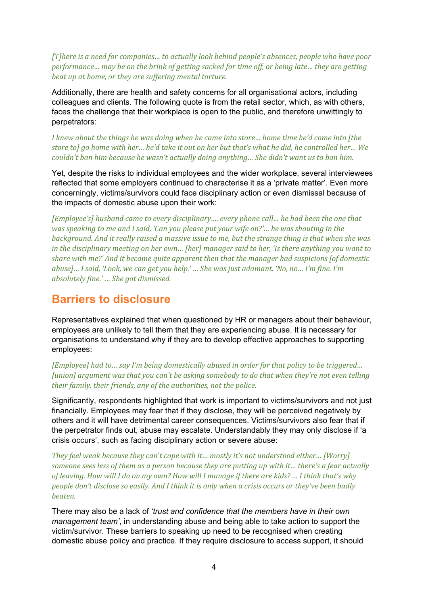*[T]here is a need for companies… to actually look behind people's absences, people who have poor performance… may be on the brink of getting sacked for time off, or being late… they are getting beat up at home, or they are suffering mental torture.*

Additionally, there are health and safety concerns for all organisational actors, including colleagues and clients. The following quote is from the retail sector, which, as with others, faces the challenge that their workplace is open to the public, and therefore unwittingly to perpetrators:

*I knew about the things he was doing when he came into store… home time he'd come into [the store to] go home with her… he'd take it out on her but that's what he did, he controlled her… We couldn't ban him because he wasn't actually doing anything… She didn't want us to ban him.*

Yet, despite the risks to individual employees and the wider workplace, several interviewees reflected that some employers continued to characterise it as a 'private matter'. Even more concerningly, victims/survivors could face disciplinary action or even dismissal because of the impacts of domestic abuse upon their work:

*[Employee's] husband came to every disciplinary…. every phone call… he had been the one that was speaking to me and I said, 'Can you please put your wife on?'… he was shouting in the background. And it really raised a massive issue to me, but the strange thing is that when she was in the disciplinary meeting on her own… [her] manager said to her, 'Is there anything you want to share with me?' And it became quite apparent then that the manager had suspicions [of domestic abuse]… I said, 'Look, we can get you help.' … She was just adamant. 'No, no… I'm fine. I'm absolutely fine.' … She got dismissed.*

#### **Barriers to disclosure**

Representatives explained that when questioned by HR or managers about their behaviour, employees are unlikely to tell them that they are experiencing abuse. It is necessary for organisations to understand why if they are to develop effective approaches to supporting employees:

*[Employee] had to… say I'm being domestically abused in order for that policy to be triggered… [union] argument was that you can't be asking somebody to do that when they're not even telling their family, their friends, any of the authorities, not the police.*

Significantly, respondents highlighted that work is important to victims/survivors and not just financially. Employees may fear that if they disclose, they will be perceived negatively by others and it will have detrimental career consequences. Victims/survivors also fear that if the perpetrator finds out, abuse may escalate. Understandably they may only disclose if 'a crisis occurs', such as facing disciplinary action or severe abuse:

*They feel weak because they can*'*t cope with it… mostly it's not understood either… [Worry] someone sees less of them as a person because they are putting up with it… there's a fear actually of leaving. How will I do on my own? How will I manage if there are kids? … I think that's why people don't disclose so easily. And I think it is only when a crisis occurs or they've been badly beaten.*

There may also be a lack of *'trust and confidence that the members have in their own management team'*, in understanding abuse and being able to take action to support the victim/survivor. These barriers to speaking up need to be recognised when creating domestic abuse policy and practice. If they require disclosure to access support, it should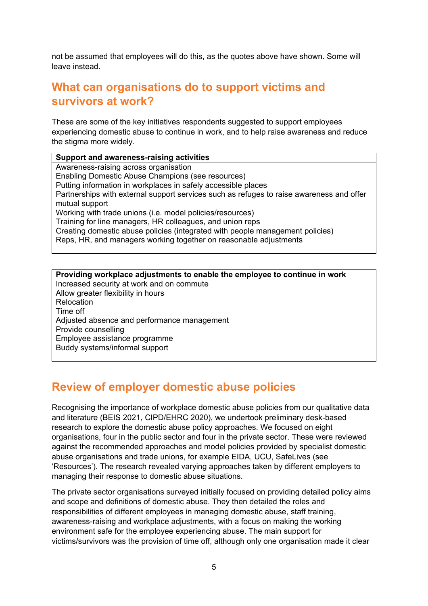not be assumed that employees will do this, as the quotes above have shown. Some will leave instead.

## **What can organisations do to support victims and survivors at work?**

These are some of the key initiatives respondents suggested to support employees experiencing domestic abuse to continue in work, and to help raise awareness and reduce the stigma more widely.

#### **Support and awareness-raising activities**

Awareness-raising across organisation Enabling Domestic Abuse Champions (see resources) Putting information in workplaces in safely accessible places Partnerships with external support services such as refuges to raise awareness and offer mutual support Working with trade unions (i.e. model policies/resources) Training for line managers, HR colleagues, and union reps Creating domestic abuse policies (integrated with people management policies) Reps, HR, and managers working together on reasonable adjustments

#### **Providing workplace adjustments to enable the employee to continue in work** Increased security at work and on commute Allow greater flexibility in hours **Relocation** Time off Adjusted absence and performance management Provide counselling Employee assistance programme Buddy systems/informal support

## **Review of employer domestic abuse policies**

Recognising the importance of workplace domestic abuse policies from our qualitative data and literature (BEIS 2021, CIPD/EHRC 2020), we undertook preliminary desk-based research to explore the domestic abuse policy approaches. We focused on eight organisations, four in the public sector and four in the private sector. These were reviewed against the recommended approaches and model policies provided by specialist domestic abuse organisations and trade unions, for example EIDA, UCU, SafeLives (see 'Resources'). The research revealed varying approaches taken by different employers to managing their response to domestic abuse situations.

The private sector organisations surveyed initially focused on providing detailed policy aims and scope and definitions of domestic abuse. They then detailed the roles and responsibilities of different employees in managing domestic abuse, staff training, awareness-raising and workplace adjustments, with a focus on making the working environment safe for the employee experiencing abuse. The main support for victims/survivors was the provision of time off, although only one organisation made it clear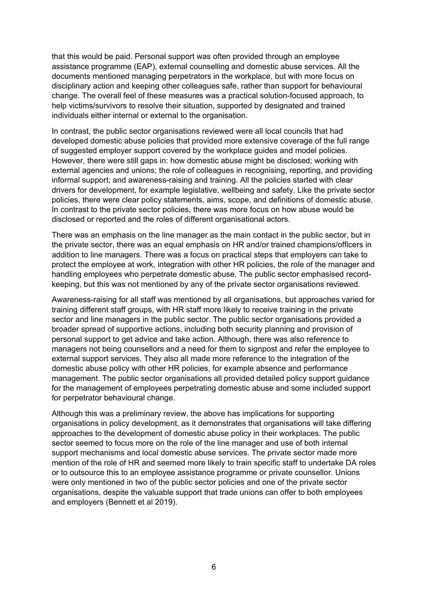that this would be paid. Personal support was often provided through an employee assistance programme (EAP), external counselling and domestic abuse services. All the documents mentioned managing perpetrators in the workplace, but with more focus on disciplinary action and keeping other colleagues safe, rather than support for behavioural change. The overall feel of these measures was a practical solution-focused approach, to help victims/survivors to resolve their situation, supported by designated and trained individuals either internal or external to the organisation.

In contrast, the public sector organisations reviewed were all local councils that had developed domestic abuse policies that provided more extensive coverage of the full range of suggested employer support covered by the workplace guides and model policies. However, there were still gaps in: how domestic abuse might be disclosed; working with external agencies and unions; the role of colleagues in recognising, reporting, and providing informal support; and awareness-raising and training. All the policies started with clear drivers for development, for example legislative, wellbeing and safety. Like the private sector policies, there were clear policy statements, aims, scope, and definitions of domestic abuse. In contrast to the private sector policies, there was more focus on how abuse would be disclosed or reported and the roles of different organisational actors.

There was an emphasis on the line manager as the main contact in the public sector, but in the private sector, there was an equal emphasis on HR and/or trained champions/officers in addition to line managers. There was a focus on practical steps that employers can take to protect the employee at work, integration with other HR policies, the role of the manager and handling employees who perpetrate domestic abuse. The public sector emphasised recordkeeping, but this was not mentioned by any of the private sector organisations reviewed.

Awareness-raising for all staff was mentioned by all organisations, but approaches varied for training different staff groups, with HR staff more likely to receive training in the private sector and line managers in the public sector. The public sector organisations provided a broader spread of supportive actions, including both security planning and provision of personal support to get advice and take action. Although, there was also reference to managers not being counsellors and a need for them to signpost and refer the employee to external support services. They also all made more reference to the integration of the domestic abuse policy with other HR policies, for example absence and performance management. The public sector organisations all provided detailed policy support guidance for the management of employees perpetrating domestic abuse and some included support for perpetrator behavioural change.

Although this was a preliminary review, the above has implications for supporting organisations in policy development, as it demonstrates that organisations will take differing approaches to the development of domestic abuse policy in their workplaces. The public sector seemed to focus more on the role of the line manager and use of both internal support mechanisms and local domestic abuse services. The private sector made more mention of the role of HR and seemed more likely to train specific staff to undertake DA roles or to outsource this to an employee assistance programme or private counsellor. Unions were only mentioned in two of the public sector policies and one of the private sector organisations, despite the valuable support that trade unions can offer to both employees and employers (Bennett et al 2019).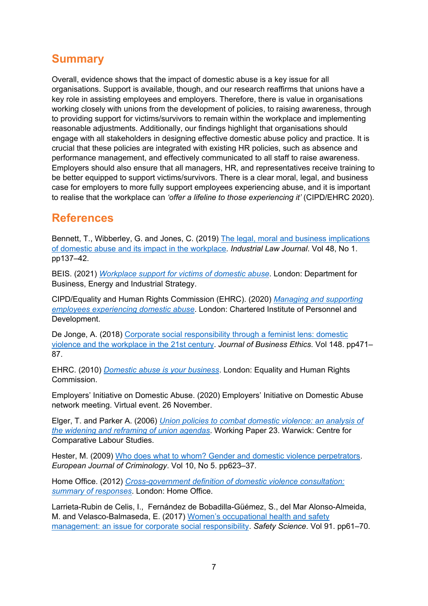## **Summary**

Overall, evidence shows that the impact of domestic abuse is a key issue for all organisations. Support is available, though, and our research reaffirms that unions have a key role in assisting employees and employers. Therefore, there is value in organisations working closely with unions from the development of policies, to raising awareness, through to providing support for victims/survivors to remain within the workplace and implementing reasonable adjustments. Additionally, our findings highlight that organisations should engage with all stakeholders in designing effective domestic abuse policy and practice. It is crucial that these policies are integrated with existing HR policies, such as absence and performance management, and effectively communicated to all staff to raise awareness. Employers should also ensure that all managers, HR, and representatives receive training to be better equipped to support victims/survivors. There is a clear moral, legal, and business case for employers to more fully support employees experiencing abuse, and it is important to realise that the workplace can *'offer a lifeline to those experiencing it'* (CIPD/EHRC 2020).

### **References**

Bennett, T., Wibberley, G. and Jones, C. (2019) [The legal, moral and business implications](https://academic.oup.com/ilj/article-abstract/48/1/137/5288364)  [of domestic abuse and its impact in the workplace.](https://academic.oup.com/ilj/article-abstract/48/1/137/5288364) *Industrial Law Journal*. Vol 48, No 1. pp137–42.

BEIS. (2021) *[Workplace support for victims of domestic abuse](https://www.gov.uk/government/publications/workplace-support-for-victims-of-domestic-abuse)*. London: Department for Business, Energy and Industrial Strategy.

CIPD/Equality and Human Rights Commission (EHRC). (2020) *[Managing and supporting](https://www.cipd.co.uk/knowledge/culture/well-being/supporting-employees-experiencing-domestic-abuse#gref)  employees [experiencing domestic abuse](https://www.cipd.co.uk/knowledge/culture/well-being/supporting-employees-experiencing-domestic-abuse#gref)*. London: Chartered Institute of Personnel and Development.

De Jonge, A. (2018) [Corporate social responsibility through a feminist lens: domestic](https://link.springer.com/article/10.1007/s10551-015-3010-9)  [violence and the workplace in the 21st century.](https://link.springer.com/article/10.1007/s10551-015-3010-9) *Journal of Business Ethics*. Vol 148. pp471– 87.

EHRC. (2010) *[Domestic abuse is your business](https://www.equalityhumanrights.com/sites/default/files/da_employers_pack.pdf)*. London: Equality and Human Rights Commission.

Employers' Initiative on Domestic Abuse. (2020) Employers' Initiative on Domestic Abuse network meeting. Virtual event. 26 November.

Elger, T. and Parker A. (2006) *[Union policies to combat domestic violence: an analysis of](https://www.researchgate.net/publication/238657970_Union_Policies_to_Combat_Domestic_Violence_An_Analysis_of_the_Widening_and_Reframing_of_Union_Agendas)  [the widening and reframing of union agendas](https://www.researchgate.net/publication/238657970_Union_Policies_to_Combat_Domestic_Violence_An_Analysis_of_the_Widening_and_Reframing_of_Union_Agendas)*. Working Paper 23. Warwick: Centre for Comparative Labour Studies.

Hester, M. (2009) [Who does what to whom? Gender and domestic violence perpetrators.](https://journals.sagepub.com/doi/10.1177/1477370813479078) *European Journal of Criminology*. Vol 10, No 5. pp623–37.

Home Office. (2012) *[Cross-government definition of domestic violence consultation:](https://assets.publishing.service.gov.uk/government/uploads/system/uploads/attachment_data/file/157800/domestic-violence-definition.pdf)  [summary of responses](https://assets.publishing.service.gov.uk/government/uploads/system/uploads/attachment_data/file/157800/domestic-violence-definition.pdf)*. London: Home Office.

Larrieta-Rubin de Celis, I., [Fernández de Bobadilla-Güémez,](https://www.researchgate.net/scientific-contributions/Sara-Fernandez-de-Bobadilla-Gueemez-2113468148?_sg%5B0%5D=Uq2qMlnmjlvvsVEyNHz54dGSbdSr--zs6xJbTANKmhB-TEhQYi7vHrMcUmNXirGR9wDeZ6U.NCUTrstbwjZdugwsg2KITvOrJuMoAyBB6oCPguulPKV1m7Fcwxf2i9zxHptkRHws2sK866Jduc8xms0YAZB-3Q&_sg%5B1%5D=EhcjriyBGY0Vp76hPbb4nh_sa7AtjQ2CvpgwodEarK9GCtwtQWPjXSZp2eBbx1U-taiVoRs.rkxN1BMNFx7-fC4_qQ4JpRkKkkG0pGa4OenU-QDiwLz1HRphi-ipEYZsC8pFvIqVXad6C5TIbbI2j9ubbGFuVg) S., [del Mar Alonso-Almeida,](https://www.researchgate.net/scientific-contributions/Maria-del-Mar-Alonso-Almeida-2012524706?_sg%5B0%5D=Uq2qMlnmjlvvsVEyNHz54dGSbdSr--zs6xJbTANKmhB-TEhQYi7vHrMcUmNXirGR9wDeZ6U.NCUTrstbwjZdugwsg2KITvOrJuMoAyBB6oCPguulPKV1m7Fcwxf2i9zxHptkRHws2sK866Jduc8xms0YAZB-3Q&_sg%5B1%5D=EhcjriyBGY0Vp76hPbb4nh_sa7AtjQ2CvpgwodEarK9GCtwtQWPjXSZp2eBbx1U-taiVoRs.rkxN1BMNFx7-fC4_qQ4JpRkKkkG0pGa4OenU-QDiwLz1HRphi-ipEYZsC8pFvIqVXad6C5TIbbI2j9ubbGFuVg) M. and Velasco-Balmaseda, E. (2017) [Women's occupational health and safety](https://isiarticles.com/bundles/Article/pre/pdf/130169.pdf)  [management: an issue for corporate social responsibility.](https://isiarticles.com/bundles/Article/pre/pdf/130169.pdf) *Safety Science*. Vol 91. pp61–70.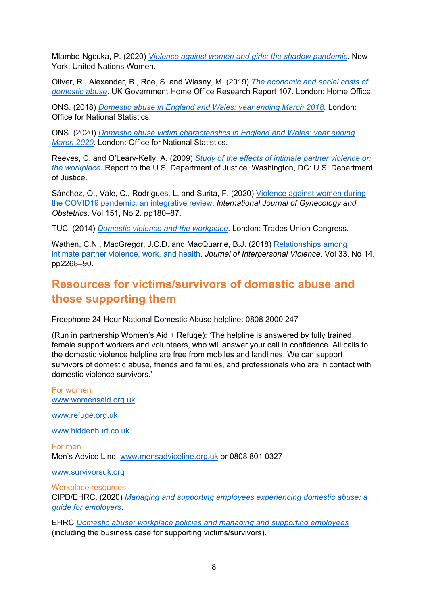Mlambo-Ngcuka, P. (2020) *[Violence against women and girls: the shadow pandemic](https://www.unwomen.org/en/news/stories/2020/4/statement-ed-phumzile-violence-against-women-during-pandemic)*. New York: United Nations Women.

Oliver, R., Alexander, B., Roe, S. and Wlasny, M. (2019) *[The economic and social costs of](https://assets.publishing.service.gov.uk/government/uploads/system/uploads/attachment_data/file/918897/horr107.pdf)  [domestic abuse](https://assets.publishing.service.gov.uk/government/uploads/system/uploads/attachment_data/file/918897/horr107.pdf)*. UK Government Home Office Research Report 107. London: Home Office.

ONS. (2018) *[Domestic abuse in England and Wales: year ending March 2018](https://www.ons.gov.uk/peoplepopulationandcommunity/crimeandjustice/bulletins/domesticabuseinenglandandwales/yearendingmarch2018)*. London: Office for National Statistics.

ONS. (2020) *[Domestic abuse victim characteristics in England and Wales: year ending](https://www.ons.gov.uk/peoplepopulationandcommunity/crimeandjustice/articles/domesticabusevictimcharacteristicsenglandandwales/yearendingmarch2020)  [March 2020](https://www.ons.gov.uk/peoplepopulationandcommunity/crimeandjustice/articles/domesticabusevictimcharacteristicsenglandandwales/yearendingmarch2020)*. London: Office for National Statistics.

Reeves, C. and O'Leary-Kelly, A. (2009) *[Study of the effects of intimate partner violence on](https://www.ojp.gov/pdffiles1/nij/grants/227266.pdf)  [the workplace](https://www.ojp.gov/pdffiles1/nij/grants/227266.pdf)*. Report to the U.S. Department of Justice. Washington, DC: U.S. Department of Justice.

Sánchez, O., Vale, C., Rodrigues, L. and Surita, F. (2020) [Violence against women during](https://obgyn.onlinelibrary.wiley.com/doi/10.1002/ijgo.13365)  [the COVID19 pandemic: an integrative review.](https://obgyn.onlinelibrary.wiley.com/doi/10.1002/ijgo.13365) *International Journal of Gynecology and Obstetrics*. Vol 151, No 2. pp180–87.

TUC. (2014) *[Domestic violence and the workplace](https://www.tuc.org.uk/research-analysis/reports/domestic-violence-and-workplace)*. London: Trades Union Congress.

Wathen, C.N., MacGregor, J.C.D. and MacQuarrie, B.J. (2018) [Relationships among](https://journals.sagepub.com/doi/full/10.1177/0886260515624236)  [intimate partner violence, work, and health.](https://journals.sagepub.com/doi/full/10.1177/0886260515624236) *Journal of Interpersonal Violence*. Vol 33, No 14. pp2268–90.

## **Resources for victims/survivors of domestic abuse and those supporting them**

Freephone 24-Hour National Domestic Abuse helpline: 0808 2000 247

(Run in partnership Women's Aid + Refuge): 'The helpline is answered by fully trained female support workers and volunteers, who will answer your call in confidence. All calls to the domestic violence helpline are free from mobiles and landlines. We can support survivors of domestic abuse, friends and families, and professionals who are in contact with domestic violence survivors.'

For women [www.womensaid.org.uk](https://msuclanac-my.sharepoint.com/personal/gwibberley_uclan_ac_uk/Documents/Documents/www.womensaid.org.uk)

[www.refuge.org.uk](http://www.refuge.org.uk/)

[www.hiddenhurt.co.uk](http://www.hiddenhurt.co.uk/)

For men Men's Advice Line: [www.mensadviceline.org.uk](https://msuclanac-my.sharepoint.com/personal/gwibberley_uclan_ac_uk/Documents/Documents/www.mensadviceline.org.uk) or 0808 801 0327

www.survivorsuk.org

#### Workplace resources

CIPD/EHRC. (2020) *[Managing and supporting employees experiencing domestic abuse: a](https://www.cipd.co.uk/knowledge/culture/well-being/supporting-employees-experiencing-domestic-abuse) [guide for employers](https://www.cipd.co.uk/knowledge/culture/well-being/supporting-employees-experiencing-domestic-abuse)*.

EHRC *[Domestic abuse: workplace policies and managing and supporting employees](https://www.equalityhumanrights.com/en/advice-and-guidance/domestic-abuse-workplace-policies-and-managing-and-supporting-employees)* (including the business case for supporting victims/survivors).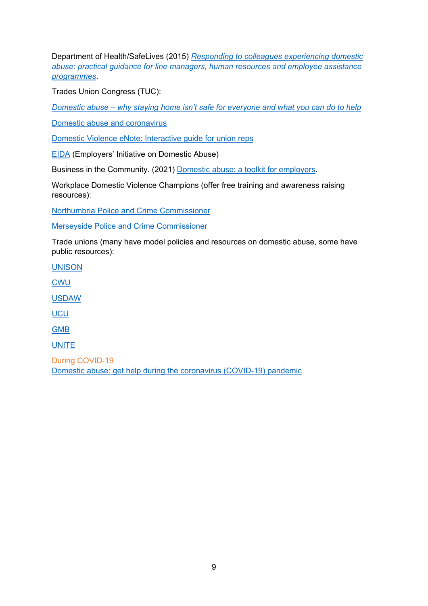Department of Health/SafeLives (2015) *[Responding to colleagues experiencing domestic](http://www.safelives.org.uk/sites/default/files/resources/DV%20Employer%27s%20guidance%20FINAL%20Update%203%20-%20SafeLives%20rebranded.pdf)  [abuse: practical guidance for line managers, human resources and employee assistance](http://www.safelives.org.uk/sites/default/files/resources/DV%20Employer%27s%20guidance%20FINAL%20Update%203%20-%20SafeLives%20rebranded.pdf)  [programmes](http://www.safelives.org.uk/sites/default/files/resources/DV%20Employer%27s%20guidance%20FINAL%20Update%203%20-%20SafeLives%20rebranded.pdf)*.

Trades Union Congress (TUC):

*Domestic abuse – [why staying home isn't safe for everyone and what you can do to help](https://www.tuc.org.uk/blogs/domestic-abuse-why-staying-home-isnt-safe-everyone-and-what-you-can-do-help)*

[Domestic abuse and coronavirus](https://learning.elucidat.com/course/5e875ae4d0715-5e8c6417dfc28)

[Domestic Violence eNote: Interactive guide for union reps](https://www.tuc.org.uk/research-analysis/reports/domestic-violence-enote)

[EIDA](https://eida.org.uk/) (Employers' Initiative on Domestic Abuse)

Business in the Community. (2021) [Domestic abuse: a toolkit for employers.](https://www.bitc.org.uk/toolkit/domestic-abuse-toolkit)

Workplace Domestic Violence Champions (offer free training and awareness raising resources):

[Northumbria Police and Crime Commissioner](https://northumbria-pcc.gov.uk/back-work-many-local-organisations-training-domestic-abuse-workplace-champions-ahead-nations-return-work-thanks-virtual-roll-scheme-pcc-kim-mcguinnes/)

[Merseyside Police and Crime Commissioner](https://www.merseysidepcc.info/DAWorkplaceScheme.aspx)

Trade unions (many have model policies and resources on domestic abuse, some have public resources):

[UNISON](https://www.unison.org.uk/content/uploads/2017/02/24192.pdf)

**[CWU](https://www.cwu.org/my-union/help-and-support/women/)** 

[USDAW](https://www.usdaw.org.uk/Help-Advice/Health-Wellbeing/Domestic-Violence)

**[UCU](https://www.ucu.org.uk/article/9543/Gender-based-violence-and-domestic-abuse)** 

[GMB](https://www.gmb.org.uk/campaign/domestic-abuse-charter)

[UNITE](https://unitetheunion.org/what-we-do/equalities/sectors/women/)

During COVID-19 [Domestic abuse: get help during the coronavirus \(COVID-19\) pandemic](https://www.gov.uk/guidance/domestic-abuse-how-to-get-help?utm_medium=email&utm_campaign=govuk-notifications&utm_source=17d3ae6d-9f20-4d52-8f28-76d7b2614917&utm_content=weekly#contents)